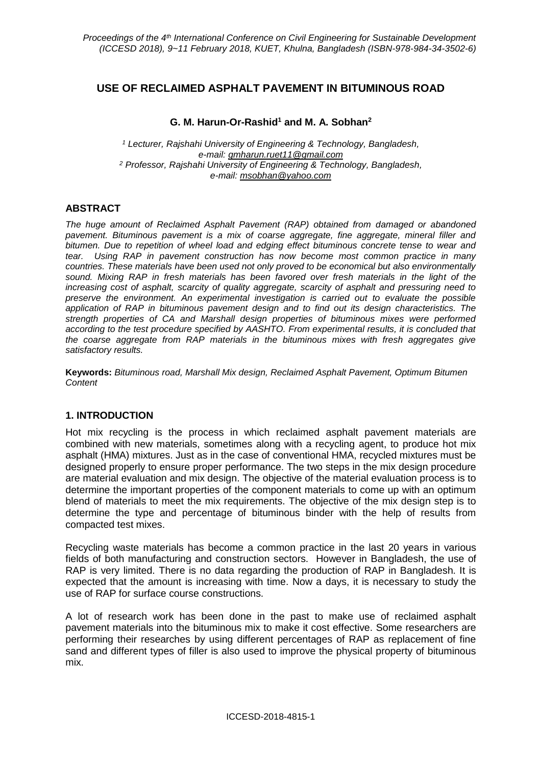# **USE OF RECLAIMED ASPHALT PAVEMENT IN BITUMINOUS ROAD**

#### **G. M. Harun-Or-Rashid<sup>1</sup> and M. A. Sobhan<sup>2</sup>**

*<sup>1</sup> Lecturer, Rajshahi University of Engineering & Technology, Bangladesh, e-mail: gmharun.ruet11@gmail.com <sup>2</sup> Professor, Rajshahi University of Engineering & Technology, Bangladesh, e-mail: msobhan@yahoo.com*

## **ABSTRACT**

*The huge amount of Reclaimed Asphalt Pavement (RAP) obtained from damaged or abandoned pavement. Bituminous pavement is a mix of coarse aggregate, fine aggregate, mineral filler and bitumen. Due to repetition of wheel load and edging effect bituminous concrete tense to wear and tear. Using RAP in pavement construction has now become most common practice in many countries. These materials have been used not only proved to be economical but also environmentally sound. Mixing RAP in fresh materials has been favored over fresh materials in the light of the increasing cost of asphalt, scarcity of quality aggregate, scarcity of asphalt and pressuring need to preserve the environment. An experimental investigation is carried out to evaluate the possible application of RAP in bituminous pavement design and to find out its design characteristics. The strength properties of CA and Marshall design properties of bituminous mixes were performed according to the test procedure specified by AASHTO. From experimental results, it is concluded that the coarse aggregate from RAP materials in the bituminous mixes with fresh aggregates give satisfactory results.*

**Keywords:** *Bituminous road, Marshall Mix design, Reclaimed Asphalt Pavement, Optimum Bitumen Content*

## **1. INTRODUCTION**

Hot mix recycling is the process in which reclaimed asphalt pavement materials are combined with new materials, sometimes along with a recycling agent, to produce hot mix asphalt (HMA) mixtures. Just as in the case of conventional HMA, recycled mixtures must be designed properly to ensure proper performance. The two steps in the mix design procedure are material evaluation and mix design. The objective of the material evaluation process is to determine the important properties of the component materials to come up with an optimum blend of materials to meet the mix requirements. The objective of the mix design step is to determine the type and percentage of bituminous binder with the help of results from compacted test mixes.

Recycling waste materials has become a common practice in the last 20 years in various fields of both manufacturing and construction sectors. However in Bangladesh, the use of RAP is very limited. There is no data regarding the production of RAP in Bangladesh. It is expected that the amount is increasing with time. Now a days, it is necessary to study the use of RAP for surface course constructions.

A lot of research work has been done in the past to make use of reclaimed asphalt pavement materials into the bituminous mix to make it cost effective. Some researchers are performing their researches by using different percentages of RAP as replacement of fine sand and different types of filler is also used to improve the physical property of bituminous mix.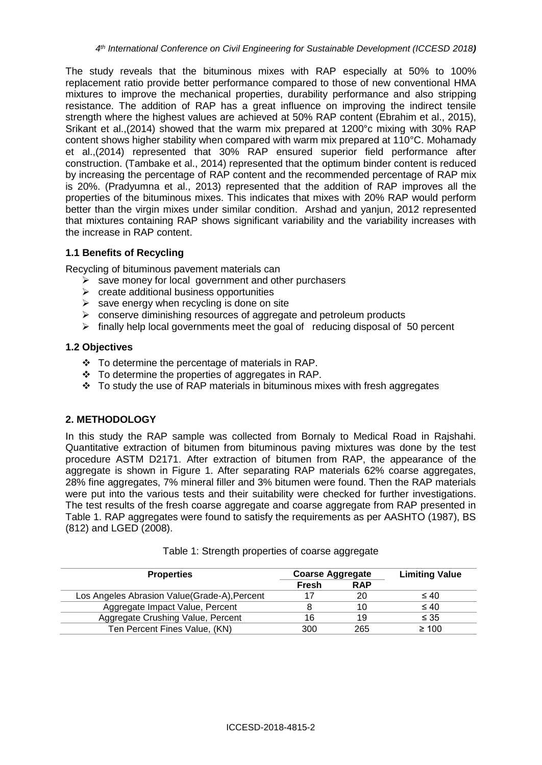The study reveals that the bituminous mixes with RAP especially at 50% to 100% replacement ratio provide better performance compared to those of new conventional HMA mixtures to improve the mechanical properties, durability performance and also stripping resistance. The addition of RAP has a great influence on improving the indirect tensile strength where the highest values are achieved at 50% RAP content (Ebrahim et al., 2015), Srikant et al.,(2014) showed that the warm mix prepared at 1200°c mixing with 30% RAP content shows higher stability when compared with warm mix prepared at 110°C. Mohamady et al.,(2014) represented that 30% RAP ensured superior field performance after construction. (Tambake et al., 2014) represented that the optimum binder content is reduced by increasing the percentage of RAP content and the recommended percentage of RAP mix is 20%. (Pradyumna et al., 2013) represented that the addition of RAP improves all the properties of the bituminous mixes. This indicates that mixes with 20% RAP would perform better than the virgin mixes under similar condition. Arshad and yanjun, 2012 represented that mixtures containing RAP shows significant variability and the variability increases with the increase in RAP content.

## **1.1 Benefits of Recycling**

Recycling of bituminous pavement materials can

- $\triangleright$  save money for local government and other purchasers
- $\triangleright$  create additional business opportunities
- $\triangleright$  save energy when recycling is done on site
- ➢ conserve diminishing resources of aggregate and petroleum products
- $\triangleright$  finally help local governments meet the goal of reducing disposal of 50 percent

#### **1.2 Objectives**

- ❖ To determine the percentage of materials in RAP.
- ❖ To determine the properties of aggregates in RAP.
- $\div$  To study the use of RAP materials in bituminous mixes with fresh aggregates

## **2. METHODOLOGY**

In this study the RAP sample was collected from Bornaly to Medical Road in Rajshahi. Quantitative extraction of bitumen from bituminous paving mixtures was done by the test procedure ASTM D2171. After extraction of bitumen from RAP, the appearance of the aggregate is shown in Figure 1. After separating RAP materials 62% coarse aggregates, 28% fine aggregates, 7% mineral filler and 3% bitumen were found. Then the RAP materials were put into the various tests and their suitability were checked for further investigations. The test results of the fresh coarse aggregate and coarse aggregate from RAP presented in Table 1. RAP aggregates were found to satisfy the requirements as per AASHTO (1987), BS (812) and LGED (2008).

| <b>Properties</b>                             | <b>Coarse Aggregate</b> |            | <b>Limiting Value</b> |
|-----------------------------------------------|-------------------------|------------|-----------------------|
|                                               | Fresh                   | <b>RAP</b> |                       |
| Los Angeles Abrasion Value (Grade-A), Percent |                         | 20         | $\leq 40$             |
| Aggregate Impact Value, Percent               |                         | 10         | $\leq 40$             |
| Aggregate Crushing Value, Percent             | 16                      | 19         | $\leq 35$             |
| Ten Percent Fines Value, (KN)                 | 300                     | 265        | $\geq 100$            |

|  |  |  | Table 1: Strength properties of coarse aggregate |
|--|--|--|--------------------------------------------------|
|  |  |  |                                                  |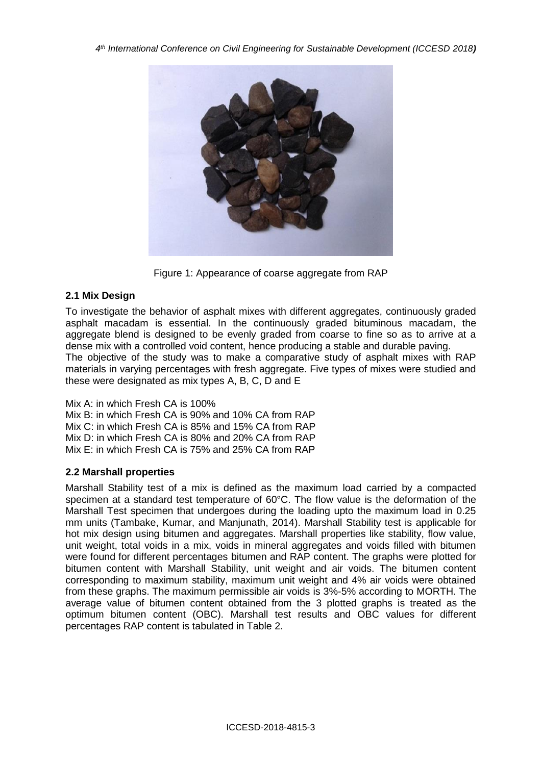

Figure 1: Appearance of coarse aggregate from RAP

## **2.1 Mix Design**

To investigate the behavior of asphalt mixes with different aggregates, continuously graded asphalt macadam is essential. In the continuously graded bituminous macadam, the aggregate blend is designed to be evenly graded from coarse to fine so as to arrive at a dense mix with a controlled void content, hence producing a stable and durable paving. The objective of the study was to make a comparative study of asphalt mixes with RAP materials in varying percentages with fresh aggregate. Five types of mixes were studied and these were designated as mix types A, B, C, D and E

Mix A: in which Fresh CA is 100% Mix B: in which Fresh CA is 90% and 10% CA from RAP Mix C: in which Fresh CA is 85% and 15% CA from RAP Mix D: in which Fresh CA is 80% and 20% CA from RAP Mix E: in which Fresh CA is 75% and 25% CA from RAP

## **2.2 Marshall properties**

Marshall Stability test of a mix is defined as the maximum load carried by a compacted specimen at a standard test temperature of 60°C. The flow value is the deformation of the Marshall Test specimen that undergoes during the loading upto the maximum load in 0.25 mm units (Tambake, Kumar, and Manjunath, 2014). Marshall Stability test is applicable for hot mix design using bitumen and aggregates. Marshall properties like stability, flow value, unit weight, total voids in a mix, voids in mineral aggregates and voids filled with bitumen were found for different percentages bitumen and RAP content. The graphs were plotted for bitumen content with Marshall Stability, unit weight and air voids. The bitumen content corresponding to maximum stability, maximum unit weight and 4% air voids were obtained from these graphs. The maximum permissible air voids is 3%-5% according to MORTH. The average value of bitumen content obtained from the 3 plotted graphs is treated as the optimum bitumen content (OBC). Marshall test results and OBC values for different percentages RAP content is tabulated in Table 2.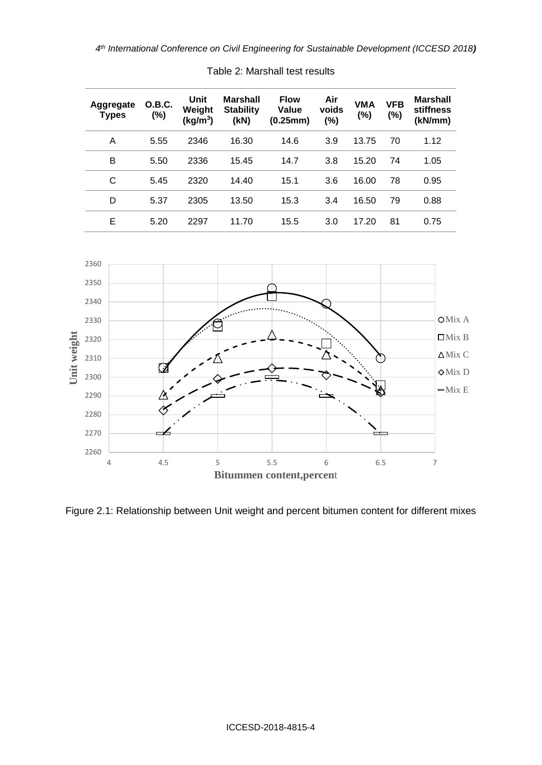| Aggregate<br>Types | O.B.C.<br>(%) | Unit<br>Weight<br>(kg/m <sup>3</sup> ) | <b>Marshall</b><br><b>Stability</b><br>(KN) | <b>Flow</b><br>Value<br>(0.25mm) | Air<br>voids<br>(%) | <b>VMA</b><br>(%) | <b>VFB</b><br>(%) | <b>Marshall</b><br>stiffness<br>(kN/mm) |
|--------------------|---------------|----------------------------------------|---------------------------------------------|----------------------------------|---------------------|-------------------|-------------------|-----------------------------------------|
| A                  | 5.55          | 2346                                   | 16.30                                       | 14.6                             | 3.9                 | 13.75             | 70                | 1.12                                    |
| B                  | 5.50          | 2336                                   | 15.45                                       | 14.7                             | 3.8                 | 15.20             | 74                | 1.05                                    |
| C                  | 5.45          | 2320                                   | 14.40                                       | 15.1                             | 3.6                 | 16.00             | 78                | 0.95                                    |
| D                  | 5.37          | 2305                                   | 13.50                                       | 15.3                             | 3.4                 | 16.50             | 79                | 0.88                                    |
| Е                  | 5.20          | 2297                                   | 11.70                                       | 15.5                             | 3.0                 | 17.20             | 81                | 0.75                                    |





Figure 2.1: Relationship between Unit weight and percent bitumen content for different mixes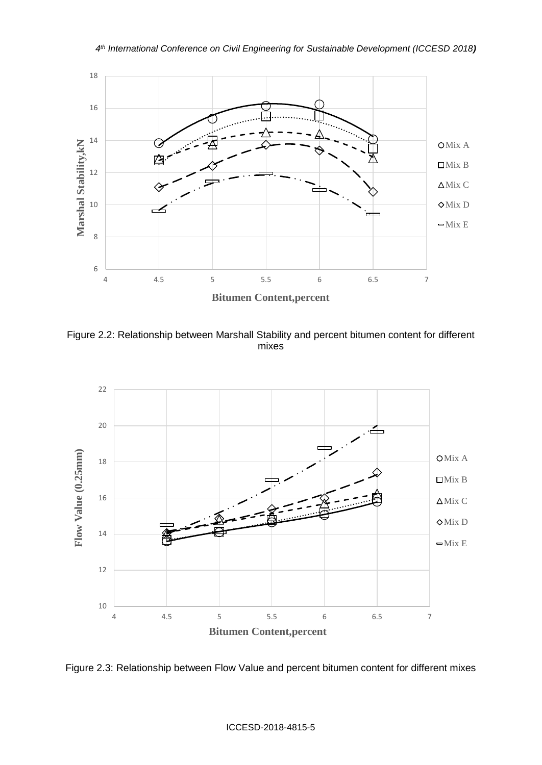

Figure 2.2: Relationship between Marshall Stability and percent bitumen content for different mixes



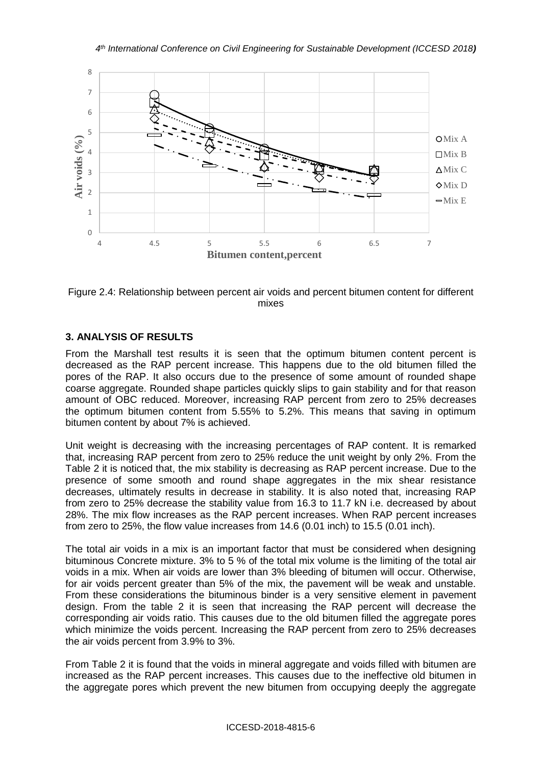



## **3. ANALYSIS OF RESULTS**

From the Marshall test results it is seen that the optimum bitumen content percent is decreased as the RAP percent increase. This happens due to the old bitumen filled the pores of the RAP. It also occurs due to the presence of some amount of rounded shape coarse aggregate. Rounded shape particles quickly slips to gain stability and for that reason amount of OBC reduced. Moreover, increasing RAP percent from zero to 25% decreases the optimum bitumen content from 5.55% to 5.2%. This means that saving in optimum bitumen content by about 7% is achieved.

Unit weight is decreasing with the increasing percentages of RAP content. It is remarked that, increasing RAP percent from zero to 25% reduce the unit weight by only 2%. From the Table 2 it is noticed that, the mix stability is decreasing as RAP percent increase. Due to the presence of some smooth and round shape aggregates in the mix shear resistance decreases, ultimately results in decrease in stability. It is also noted that, increasing RAP from zero to 25% decrease the stability value from 16.3 to 11.7 kN i.e. decreased by about 28%. The mix flow increases as the RAP percent increases. When RAP percent increases from zero to 25%, the flow value increases from 14.6 (0.01 inch) to 15.5 (0.01 inch).

The total air voids in a mix is an important factor that must be considered when designing bituminous Concrete mixture. 3% to 5 % of the total mix volume is the limiting of the total air voids in a mix. When air voids are lower than 3% bleeding of bitumen will occur. Otherwise, for air voids percent greater than 5% of the mix, the pavement will be weak and unstable. From these considerations the bituminous binder is a very sensitive element in pavement design. From the table 2 it is seen that increasing the RAP percent will decrease the corresponding air voids ratio. This causes due to the old bitumen filled the aggregate pores which minimize the voids percent. Increasing the RAP percent from zero to 25% decreases the air voids percent from 3.9% to 3%.

From Table 2 it is found that the voids in mineral aggregate and voids filled with bitumen are increased as the RAP percent increases. This causes due to the ineffective old bitumen in the aggregate pores which prevent the new bitumen from occupying deeply the aggregate